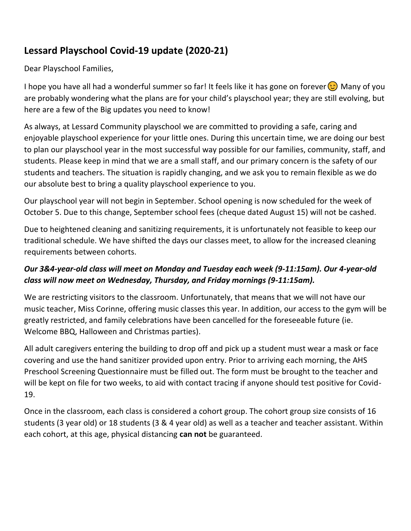## **Lessard Playschool Covid-19 update (2020-21)**

Dear Playschool Families,

I hope you have all had a wonderful summer so far! It feels like it has gone on forever  $\circ$  Many of you are probably wondering what the plans are for your child's playschool year; they are still evolving, but here are a few of the Big updates you need to know!

As always, at Lessard Community playschool we are committed to providing a safe, caring and enjoyable playschool experience for your little ones. During this uncertain time, we are doing our best to plan our playschool year in the most successful way possible for our families, community, staff, and students. Please keep in mind that we are a small staff, and our primary concern is the safety of our students and teachers. The situation is rapidly changing, and we ask you to remain flexible as we do our absolute best to bring a quality playschool experience to you.

Our playschool year will not begin in September. School opening is now scheduled for the week of October 5. Due to this change, September school fees (cheque dated August 15) will not be cashed.

Due to heightened cleaning and sanitizing requirements, it is unfortunately not feasible to keep our traditional schedule. We have shifted the days our classes meet, to allow for the increased cleaning requirements between cohorts.

## *Our 3&4-year-old class will meet on Monday and Tuesday each week (9-11:15am). Our 4-year-old class will now meet on Wednesday, Thursday, and Friday mornings (9-11:15am).*

We are restricting visitors to the classroom. Unfortunately, that means that we will not have our music teacher, Miss Corinne, offering music classes this year. In addition, our access to the gym will be greatly restricted, and family celebrations have been cancelled for the foreseeable future (ie. Welcome BBQ, Halloween and Christmas parties).

All adult caregivers entering the building to drop off and pick up a student must wear a mask or face covering and use the hand sanitizer provided upon entry. Prior to arriving each morning, the AHS Preschool Screening Questionnaire must be filled out. The form must be brought to the teacher and will be kept on file for two weeks, to aid with contact tracing if anyone should test positive for Covid-19.

Once in the classroom, each class is considered a cohort group. The cohort group size consists of 16 students (3 year old) or 18 students (3 & 4 year old) as well as a teacher and teacher assistant. Within each cohort, at this age, physical distancing **can not** be guaranteed.